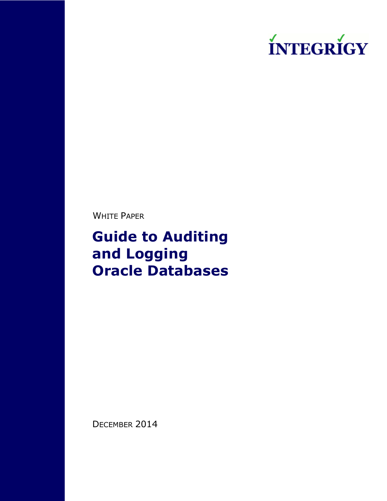

WHITE PAPER

**Guide to Auditing and Logging Oracle Databases**

DECEMBER 2014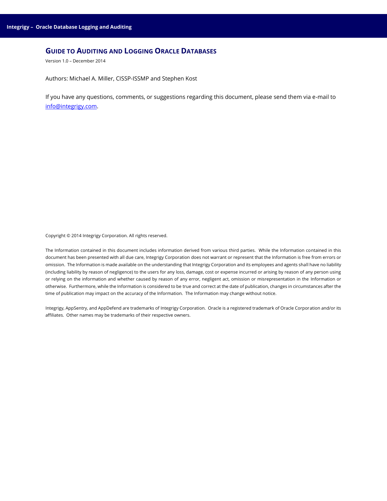# **GUIDE TO AUDITING AND LOGGING ORACLE DATABASES**

Version 1.0 – December 2014

Authors: Michael A. Miller, CISSP-ISSMP and Stephen Kost

If you have any questions, comments, or suggestions regarding this document, please send them via e-mail to [info@integrigy.com.](mailto:info@integrigy.com)

Copyright © 2014 Integrigy Corporation. All rights reserved.

The Information contained in this document includes information derived from various third parties. While the Information contained in this document has been presented with all due care, Integrigy Corporation does not warrant or represent that the Information is free from errors or omission. The Information is made available on the understanding that Integrigy Corporation and its employees and agents shall have no liability (including liability by reason of negligence) to the users for any loss, damage, cost or expense incurred or arising by reason of any person using or relying on the information and whether caused by reason of any error, negligent act, omission or misrepresentation in the Information or otherwise. Furthermore, while the Information is considered to be true and correct at the date of publication, changes in circumstances after the time of publication may impact on the accuracy of the Information. The Information may change without notice.

Integrigy, AppSentry, and AppDefend are trademarks of Integrigy Corporation. Oracle is a registered trademark of Oracle Corporation and/or its affiliates. Other names may be trademarks of their respective owners.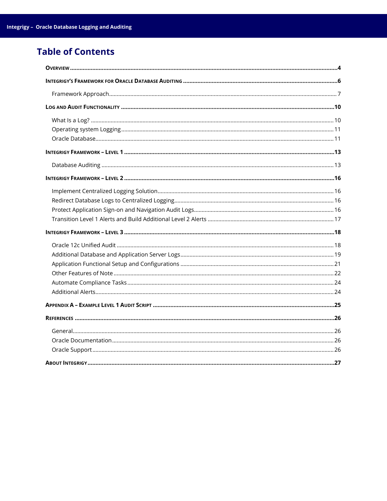# **Table of Contents**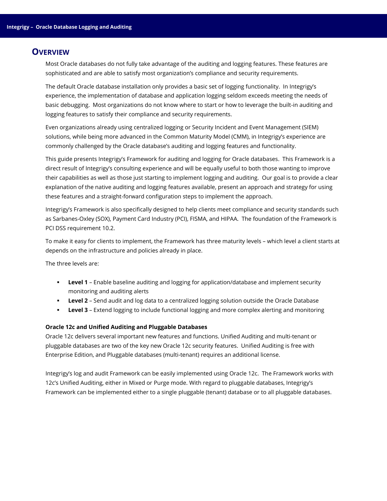# <span id="page-3-0"></span>**OVERVIEW**

Most Oracle databases do not fully take advantage of the auditing and logging features. These features are sophisticated and are able to satisfy most organization's compliance and security requirements.

The default Oracle database installation only provides a basic set of logging functionality. In Integrigy's experience, the implementation of database and application logging seldom exceeds meeting the needs of basic debugging. Most organizations do not know where to start or how to leverage the built-in auditing and logging features to satisfy their compliance and security requirements.

Even organizations already using centralized logging or Security Incident and Event Management (SIEM) solutions, while being more advanced in the Common Maturity Model (CMM), in Integrigy's experience are commonly challenged by the Oracle database's auditing and logging features and functionality.

This guide presents Integrigy's Framework for auditing and logging for Oracle databases. This Framework is a direct result of Integrigy's consulting experience and will be equally useful to both those wanting to improve their capabilities as well as those just starting to implement logging and auditing. Our goal is to provide a clear explanation of the native auditing and logging features available, present an approach and strategy for using these features and a straight-forward configuration steps to implement the approach.

Integrigy's Framework is also specifically designed to help clients meet compliance and security standards such as Sarbanes-Oxley (SOX), Payment Card Industry (PCI), FISMA, and HIPAA. The foundation of the Framework is PCI DSS requirement 10.2.

To make it easy for clients to implement, the Framework has three maturity levels – which level a client starts at depends on the infrastructure and policies already in place.

The three levels are:

- **Level 1** Enable baseline auditing and logging for application/database and implement security monitoring and auditing alerts
- **Level 2** Send audit and log data to a centralized logging solution outside the Oracle Database
- **Level 3** Extend logging to include functional logging and more complex alerting and monitoring

#### **Oracle 12c and Unified Auditing and Pluggable Databases**

Oracle 12c delivers several important new features and functions. Unified Auditing and multi-tenant or pluggable databases are two of the key new Oracle 12c security features. Unified Auditing is free with Enterprise Edition, and Pluggable databases (multi-tenant) requires an additional license.

Integrigy's log and audit Framework can be easily implemented using Oracle 12c. The Framework works with 12c's Unified Auditing, either in Mixed or Purge mode. With regard to pluggable databases, Integrigy's Framework can be implemented either to a single pluggable (tenant) database or to all pluggable databases.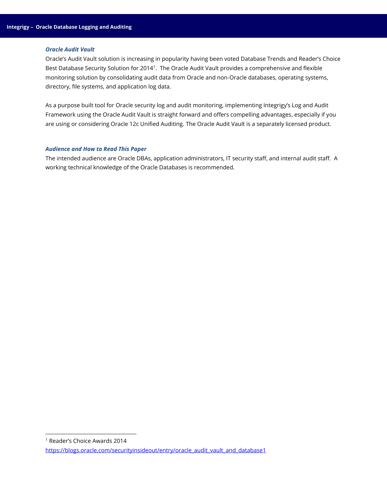#### *Oracle Audit Vault*

Oracle's Audit Vault solution is increasing in popularity having been voted Database Trends and Reader's Choice Best Database Security Solution for 2014<sup>1</sup>. The Oracle Audit Vault provides a comprehensive and flexible monitoring solution by consolidating audit data from Oracle and non-Oracle databases, operating systems, directory, file systems, and application log data.

As a purpose built tool for Oracle security log and audit monitoring, implementing Integrigy's Log and Audit Framework using the Oracle Audit Vault is straight forward and offers compelling advantages, especially if you are using or considering Oracle 12c Unified Auditing. The Oracle Audit Vault is a separately licensed product.

#### *Audience and How to Read This Paper*

The intended audience are Oracle DBAs, application administrators, IT security staff, and internal audit staff. A working technical knowledge of the Oracle Databases is recommended.

<sup>1</sup> Reader's Choice Awards 2014

l

[https://blogs.oracle.com/securityinsideout/entry/oracle\\_audit\\_vault\\_and\\_database1](https://blogs.oracle.com/securityinsideout/entry/oracle_audit_vault_and_database1)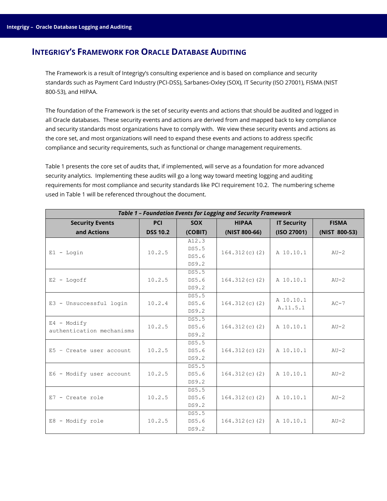# <span id="page-5-0"></span>**INTEGRIGY'S FRAMEWORK FOR ORACLE DATABASE AUDITING**

The Framework is a result of Integrigy's consulting experience and is based on compliance and security standards such as Payment Card Industry (PCI-DSS), Sarbanes-Oxley (SOX), IT Security (ISO 27001), FISMA (NIST 800-53), and HIPAA.

The foundation of the Framework is the set of security events and actions that should be audited and logged in all Oracle databases. These security events and actions are derived from and mapped back to key compliance and security standards most organizations have to comply with. We view these security events and actions as the core set, and most organizations will need to expand these events and actions to address specific compliance and security requirements, such as functional or change management requirements.

Table 1 presents the core set of audits that, if implemented, will serve as a foundation for more advanced security analytics. Implementing these audits will go a long way toward meeting logging and auditing requirements for most compliance and security standards like PCI requirement 10.2. The numbering scheme used in Table 1 will be referenced throughout the document.

| <b>Table 1 - Foundation Events for Logging and Security Framework</b> |                 |            |                  |                    |               |
|-----------------------------------------------------------------------|-----------------|------------|------------------|--------------------|---------------|
| <b>Security Events</b>                                                | <b>PCI</b>      | <b>SOX</b> | <b>HIPAA</b>     | <b>IT Security</b> | <b>FISMA</b>  |
| and Actions                                                           | <b>DSS 10.2</b> | (COBIT)    | (NIST 800-66)    | (ISO 27001)        | (NIST 800-53) |
|                                                                       |                 | A12.3      |                  |                    |               |
| $E1 -$ Login                                                          | 10.2.5          | DS5.5      | $164.312(c)$ (2) | A 10.10.1          | $AU-2$        |
|                                                                       |                 | DS5.6      |                  |                    |               |
|                                                                       |                 | DS9.2      |                  |                    |               |
|                                                                       |                 | DS5.5      |                  |                    |               |
| $E2 - Logoff$                                                         | 10.2.5          | DS5.6      | $164.312(c)$ (2) | A 10.10.1          | $AU-2$        |
|                                                                       |                 | DS9.2      |                  |                    |               |
|                                                                       |                 | DS5.5      |                  | A 10.10.1          |               |
| E3 - Unsuccessful login                                               | 10.2.4          | DS5.6      | $164.312(c)$ (2) | A.11.5.1           | $AC-7$        |
|                                                                       |                 | DS9.2      |                  |                    |               |
| $E4 - Modify$                                                         |                 | DS5.5      |                  |                    |               |
| authentication mechanisms                                             | 10.2.5          | DS5.6      | $164.312(c)$ (2) | A 10.10.1          | $AU-2$        |
|                                                                       |                 | DS9.2      |                  |                    |               |
|                                                                       |                 | DS5.5      |                  |                    |               |
| $E5$ - Create user account                                            | 10.2.5          | DS5.6      | $164.312(c)$ (2) | A 10.10.1          | $AU-2$        |
|                                                                       |                 | DS9.2      |                  |                    |               |
|                                                                       |                 | DS5.5      |                  |                    |               |
| E6 - Modify user account                                              | 10.2.5          | DS5.6      | $164.312(c)$ (2) | A 10.10.1          | $AU-2$        |
|                                                                       |                 | DS9.2      |                  |                    |               |
|                                                                       |                 | DS5.5      |                  |                    |               |
| $E7$ - Create role                                                    | 10.2.5          | DS5.6      | $164.312(c)$ (2) | A 10.10.1          | $AU-2$        |
|                                                                       |                 | DS9.2      |                  |                    |               |
|                                                                       |                 | DS5.5      |                  |                    |               |
| E8 - Modify role                                                      | 10.2.5          | DS5.6      | $164.312(c)$ (2) | A 10.10.1          | $AU-2$        |
|                                                                       |                 | DS9.2      |                  |                    |               |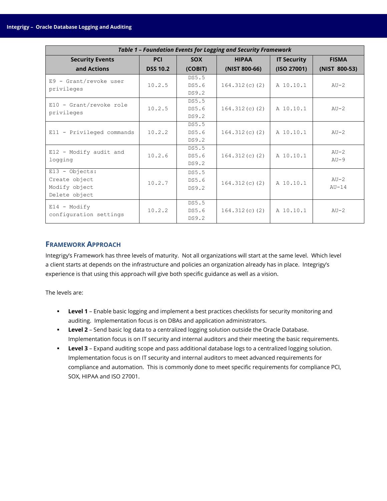| Table 1 - Foundation Events for Logging and Security Framework       |                 |                         |                  |                    |                    |
|----------------------------------------------------------------------|-----------------|-------------------------|------------------|--------------------|--------------------|
| <b>Security Events</b>                                               | <b>PCI</b>      | <b>SOX</b>              | <b>HIPAA</b>     | <b>IT Security</b> | <b>FISMA</b>       |
| and Actions                                                          | <b>DSS 10.2</b> | (COBIT)                 | (NIST 800-66)    | (ISO 27001)        | (NIST 800-53)      |
| $E9 - Grant/revoke$ user<br>privileges                               | 10.2.5          | DS5.5<br>DS5.6<br>DS9.2 | $164.312(c)$ (2) | A 10.10.1          | $AU-2$             |
| $E10 - Grant/revoke role$<br>privileges                              | 10.2.5          | DS5.5<br>DS5.6<br>DS9.2 | $164.312(c)$ (2) | A 10.10.1          | $AU-2$             |
| $E11$ - Privileged commands                                          | 10.2.2          | DS5.5<br>DS5.6<br>DS9.2 | $164.312(c)$ (2) | A 10.10.1          | $AU-2$             |
| $E12$ - Modify audit and<br>logging                                  | 10.2.6          | DS5.5<br>DS5.6<br>DS9.2 | $164.312(c)$ (2) | A 10.10.1          | $AU-2$<br>$AU-9$   |
| $E13 - Objects$ :<br>Create object<br>Modify object<br>Delete object | 10.2.7          | DS5.5<br>DS5.6<br>DS9.2 | $164.312(c)$ (2) | A 10.10.1          | $AU-2$<br>$AIJ-14$ |
| $E14 - Modify$<br>configuration settings                             | 10.2.2          | DS5.5<br>DS5.6<br>DS9.2 | $164.312(c)$ (2) | A 10.10.1          | $AU-2$             |

# <span id="page-6-0"></span>**FRAMEWORK APPROACH**

Integrigy's Framework has three levels of maturity. Not all organizations will start at the same level. Which level a client starts at depends on the infrastructure and policies an organization already has in place. Integrigy's experience is that using this approach will give both specific guidance as well as a vision.

The levels are:

- **Level 1** Enable basic logging and implement a best practices checklists for security monitoring and auditing. Implementation focus is on DBAs and application administrators.
- **Level 2** Send basic log data to a centralized logging solution outside the Oracle Database. Implementation focus is on IT security and internal auditors and their meeting the basic requirements.
- **Level 3** Expand auditing scope and pass additional database logs to a centralized logging solution. Implementation focus is on IT security and internal auditors to meet advanced requirements for compliance and automation. This is commonly done to meet specific requirements for compliance PCI, SOX, HIPAA and ISO 27001.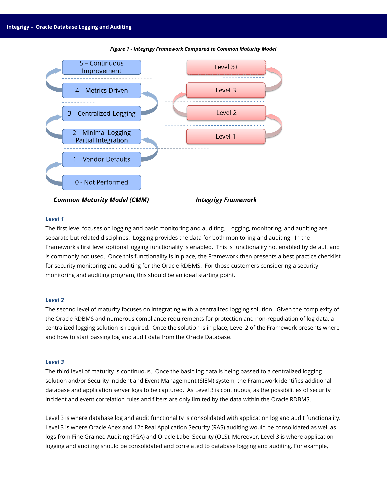

#### *Figure 1 - Integrigy Framework Compared to Common Maturity Model*

#### *Level 1*

The first level focuses on logging and basic monitoring and auditing. Logging, monitoring, and auditing are separate but related disciplines. Logging provides the data for both monitoring and auditing. In the Framework's first level optional logging functionality is enabled. This is functionality not enabled by default and is commonly not used. Once this functionality is in place, the Framework then presents a best practice checklist for security monitoring and auditing for the Oracle RDBMS. For those customers considering a security monitoring and auditing program, this should be an ideal starting point.

#### *Level 2*

The second level of maturity focuses on integrating with a centralized logging solution. Given the complexity of the Oracle RDBMS and numerous compliance requirements for protection and non-repudiation of log data, a centralized logging solution is required. Once the solution is in place, Level 2 of the Framework presents where and how to start passing log and audit data from the Oracle Database.

#### *Level 3*

The third level of maturity is continuous. Once the basic log data is being passed to a centralized logging solution and/or Security Incident and Event Management (SIEM) system, the Framework identifies additional database and application server logs to be captured. As Level 3 is continuous, as the possibilities of security incident and event correlation rules and filters are only limited by the data within the Oracle RDBMS.

Level 3 is where database log and audit functionality is consolidated with application log and audit functionality. Level 3 is where Oracle Apex and 12c Real Application Security (RAS) auditing would be consolidated as well as logs from Fine Grained Auditing (FGA) and Oracle Label Security (OLS). Moreover, Level 3 is where application logging and auditing should be consolidated and correlated to database logging and auditing. For example,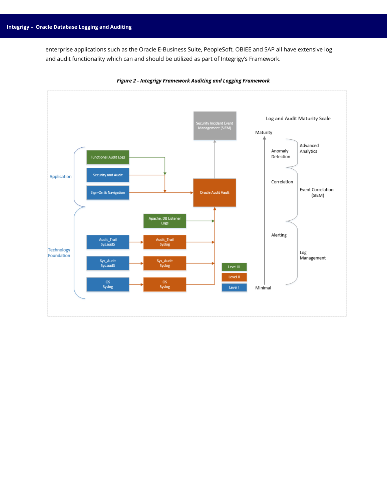enterprise applications such as the Oracle E-Business Suite, PeopleSoft, OBIEE and SAP all have extensive log and audit functionality which can and should be utilized as part of Integrigy's Framework.



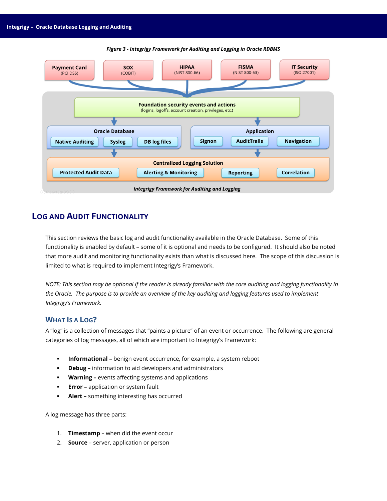

#### *Figure 3 - Integrigy Framework for Auditing and Logging in Oracle RDBMS*

# <span id="page-9-0"></span>**LOG AND AUDIT FUNCTIONALITY**

This section reviews the basic log and audit functionality available in the Oracle Database. Some of this functionality is enabled by default – some of it is optional and needs to be configured. It should also be noted that more audit and monitoring functionality exists than what is discussed here. The scope of this discussion is limited to what is required to implement Integrigy's Framework.

*NOTE: This section may be optional if the reader is already familiar with the core auditing and logging functionality in the Oracle. The purpose is to provide an overview of the key auditing and logging features used to implement Integrigy's Framework.*

# <span id="page-9-1"></span>**WHAT IS A LOG?**

A "log" is a collection of messages that "paints a picture" of an event or occurrence. The following are general categories of log messages, all of which are important to Integrigy's Framework:

- **Informational –** benign event occurrence, for example, a system reboot
- **Debug –** information to aid developers and administrators
- **Warning –** events affecting systems and applications
- **Error** application or system fault
- **Alert –** something interesting has occurred

A log message has three parts:

- 1. **Timestamp** when did the event occur
- 2. **Source** server, application or person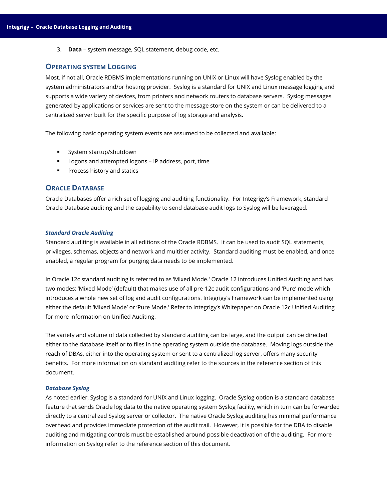3. **Data** – system message, SQL statement, debug code, etc.

#### <span id="page-10-0"></span>**OPERATING SYSTEM LOGGING**

Most, if not all, Oracle RDBMS implementations running on UNIX or Linux will have Syslog enabled by the system administrators and/or hosting provider. Syslog is a standard for UNIX and Linux message logging and supports a wide variety of devices, from printers and network routers to database servers. Syslog messages generated by applications or services are sent to the message store on the system or can be delivered to a centralized server built for the specific purpose of log storage and analysis.

The following basic operating system events are assumed to be collected and available:

- **System startup/shutdown**
- **Logons and attempted logons IP address, port, time**
- **Process history and statics**

### <span id="page-10-1"></span>**ORACLE DATABASE**

Oracle Databases offer a rich set of logging and auditing functionality. For Integrigy's Framework, standard Oracle Database auditing and the capability to send database audit logs to Syslog will be leveraged.

#### *Standard Oracle Auditing*

Standard auditing is available in all editions of the Oracle RDBMS. It can be used to audit SQL statements, privileges, schemas, objects and network and multitier activity. Standard auditing must be enabled, and once enabled, a regular program for purging data needs to be implemented.

In Oracle 12c standard auditing is referred to as 'Mixed Mode.' Oracle 12 introduces Unified Auditing and has two modes: 'Mixed Mode' (default) that makes use of all pre-12c audit configurations and 'Pure' mode which introduces a whole new set of log and audit configurations. Integrigy's Framework can be implemented using either the default 'Mixed Mode' or 'Pure Mode.' Refer to Integrigy's Whitepaper on Oracle 12c Unified Auditing for more information on Unified Auditing.

The variety and volume of data collected by standard auditing can be large, and the output can be directed either to the database itself or to files in the operating system outside the database. Moving logs outside the reach of DBAs, either into the operating system or sent to a centralized log server, offers many security benefits. For more information on standard auditing refer to the sources in the reference section of this document.

#### *Database Syslog*

As noted earlier, Syslog is a standard for UNIX and Linux logging. Oracle Syslog option is a standard database feature that sends Oracle log data to the native operating system Syslog facility, which in turn can be forwarded directly to a centralized Syslog server or collector. The native Oracle Syslog auditing has minimal performance overhead and provides immediate protection of the audit trail. However, it is possible for the DBA to disable auditing and mitigating controls must be established around possible deactivation of the auditing. For more information on Syslog refer to the reference section of this document.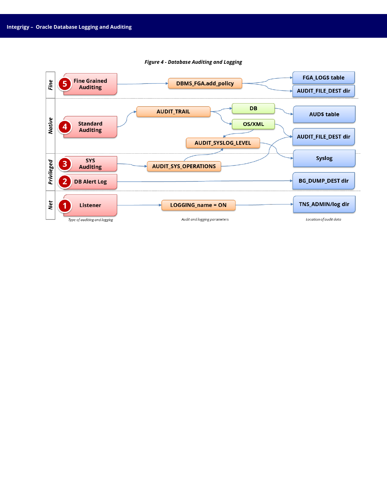

#### *Figure 4 - Database Auditing and Logging*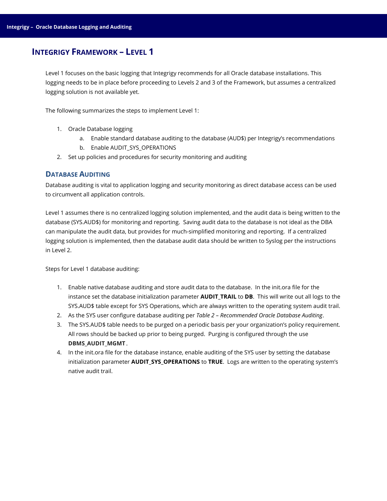# <span id="page-12-0"></span>**INTEGRIGY FRAMEWORK – LEVEL 1**

Level 1 focuses on the basic logging that Integrigy recommends for all Oracle database installations. This logging needs to be in place before proceeding to Levels 2 and 3 of the Framework, but assumes a centralized logging solution is not available yet.

The following summarizes the steps to implement Level 1:

- 1. Oracle Database logging
	- a. Enable standard database auditing to the database (AUD\$) per Integrigy's recommendations
	- b. Enable AUDIT\_SYS\_OPERATIONS
- 2. Set up policies and procedures for security monitoring and auditing

### <span id="page-12-1"></span>**DATABASE AUDITING**

Database auditing is vital to application logging and security monitoring as direct database access can be used to circumvent all application controls.

Level 1 assumes there is no centralized logging solution implemented, and the audit data is being written to the database (SYS.AUD\$) for monitoring and reporting. Saving audit data to the database is not ideal as the DBA can manipulate the audit data, but provides for much-simplified monitoring and reporting. If a centralized logging solution is implemented, then the database audit data should be written to Syslog per the instructions in Level 2.

Steps for Level 1 database auditing:

- 1. Enable native database auditing and store audit data to the database. In the init.ora file for the instance set the database initialization parameter **AUDIT TRAIL** to **DB**. This will write out all logs to the SYS.AUD\$ table except for SYS Operations, which are always written to the operating system audit trail.
- 2. As the SYS user configure database auditing per *Table 2 – Recommended Oracle Database Auditing*.
- 3. The SYS.AUD\$ table needs to be purged on a periodic basis per your organization's policy requirement. All rows should be backed up prior to being purged. Purging is configured through the use DBMS\_AUDIT\_MGMT.
- 4. In the init.ora file for the database instance, enable auditing of the SYS user by setting the database initialization parameter **AUDIT\_SYS\_OPERATIONS** to **TRUE**. Logs are written to the operating system's native audit trail.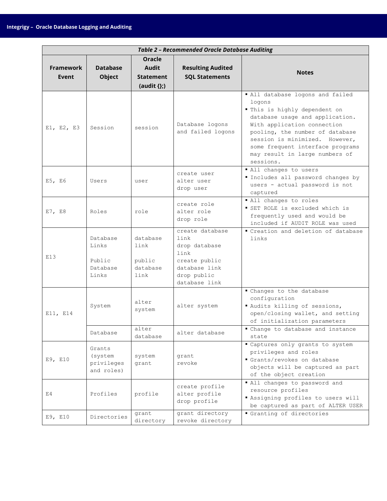|                                  | <b>Table 2 - Recommended Oracle Database Auditing</b>     |                                                                       |                                                                                                                    |                                                                                                                                                                                                                                                                                                       |  |
|----------------------------------|-----------------------------------------------------------|-----------------------------------------------------------------------|--------------------------------------------------------------------------------------------------------------------|-------------------------------------------------------------------------------------------------------------------------------------------------------------------------------------------------------------------------------------------------------------------------------------------------------|--|
| <b>Framework</b><br><b>Event</b> | <b>Database</b><br><b>Object</b>                          | <b>Oracle</b><br><b>Audit</b><br><b>Statement</b><br>$(audit \{\}; )$ | <b>Resulting Audited</b><br><b>SQL Statements</b>                                                                  | <b>Notes</b>                                                                                                                                                                                                                                                                                          |  |
| E1, E2, E3                       | Session                                                   | session                                                               | Database logons<br>and failed logons                                                                               | " All database logons and failed<br>logons<br>" This is highly dependent on<br>database usage and application.<br>With application connection<br>pooling, the number of database<br>session is minimized. However,<br>some frequent interface programs<br>may result in large numbers of<br>sessions. |  |
| E5, E6                           | Users                                                     | user                                                                  | create user<br>alter user<br>drop user                                                                             | " All changes to users<br>Includes all password changes by<br>users - actual password is not<br>captured                                                                                                                                                                                              |  |
| E7, E8                           | Roles                                                     | role                                                                  | create role<br>alter role<br>drop role                                                                             | " All changes to roles<br>SET ROLE is excluded which is<br>frequently used and would be<br>included if AUDIT ROLE was used                                                                                                                                                                            |  |
| E13                              | Database<br>Links<br>Public<br>Database<br>Links          | database<br>link<br>public<br>database<br>link                        | create database<br>link<br>drop database<br>link<br>create public<br>database link<br>drop public<br>database link | " Creation and deletion of database<br>links                                                                                                                                                                                                                                                          |  |
| E11, E14                         | System                                                    | alter<br>system<br>alter                                              | alter system                                                                                                       | " Changes to the database<br>configuration<br>" Audits killing of sessions,<br>open/closing wallet, and setting<br>of initialization parameters<br>" Change to database and instance                                                                                                                  |  |
| E9, E10                          | Database<br>Grants<br>(system<br>privileges<br>and roles) | database<br>system<br>grant                                           | alter database<br>grant<br>revoke                                                                                  | state<br>" Captures only grants to system<br>privileges and roles<br>Grants/revokes on database<br>objects will be captured as part<br>of the object creation                                                                                                                                         |  |
| E4                               | Profiles                                                  | profile                                                               | create profile<br>alter profile<br>drop profile                                                                    | " All changes to password and<br>resource profiles<br>Rassigning profiles to users will<br>be captured as part of ALTER USER                                                                                                                                                                          |  |
| E9, E10                          | Directories                                               | grant<br>directory                                                    | grant directory<br>revoke directory                                                                                | Granting of directories                                                                                                                                                                                                                                                                               |  |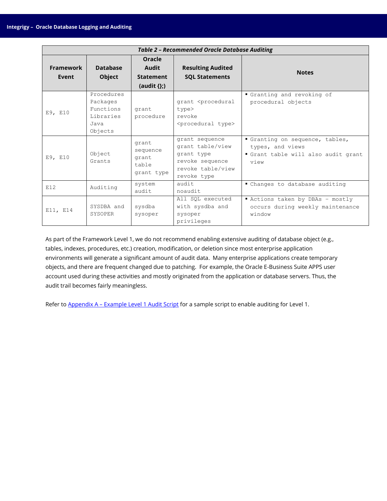| <b>Table 2 - Recommended Oracle Database Auditing</b> |                                                                     |                                                                |                                                                                                         |                                                                                                |
|-------------------------------------------------------|---------------------------------------------------------------------|----------------------------------------------------------------|---------------------------------------------------------------------------------------------------------|------------------------------------------------------------------------------------------------|
| Framework<br>Event                                    | <b>Database</b><br><b>Object</b>                                    | Oracle<br><b>Audit</b><br><b>Statement</b><br>(audit $\{\};$ ) | <b>Resulting Audited</b><br><b>SQL Statements</b>                                                       | <b>Notes</b>                                                                                   |
| E9, E10                                               | Procedures<br>Packages<br>Functions<br>Libraries<br>Java<br>Objects | grant<br>procedure                                             | grant <procedural<br>type&gt;<br/>revoke<br/><procedural type=""></procedural></procedural<br>          | Granting and revoking of<br>procedural objects                                                 |
| E9, E10                                               | Object<br>Grants                                                    | grant<br>sequence<br>grant<br>table<br>grant type              | grant sequence<br>grant table/view<br>grant type<br>revoke sequence<br>revoke table/view<br>revoke type | Granting on sequence, tables,<br>types, and views<br>Grant table will also audit grant<br>view |
| E12                                                   | Auditing                                                            | system<br>audit                                                | audit<br>noaudit                                                                                        | " Changes to database auditing                                                                 |
| E11, E14                                              | SYSDBA and<br>SYSOPER                                               | sysdba<br>sysoper                                              | All SQL executed<br>with sysdba and<br>sysoper<br>privileges                                            | Actions taken by DBAs - mostly<br>occurs during weekly maintenance<br>window                   |

As part of the Framework Level 1, we do not recommend enabling extensive auditing of database object (e.g., tables, indexes, procedures, etc.) creation, modification, or deletion since most enterprise application environments will generate a significant amount of audit data. Many enterprise applications create temporary objects, and there are frequent changed due to patching. For example, the Oracle E-Business Suite APPS user account used during these activities and mostly originated from the application or database servers. Thus, the audit trail becomes fairly meaningless.

Refer to **Appendix A - [Example Level 1 Audit Script](#page-24-0)** for a sample script to enable auditing for Level 1.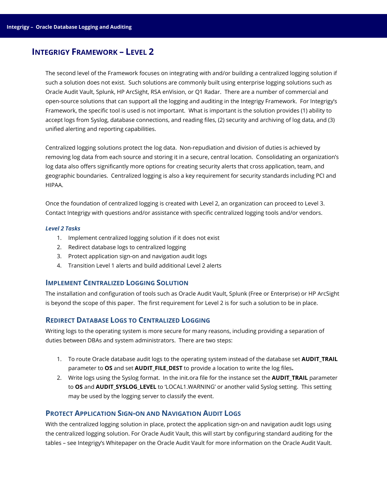# <span id="page-15-0"></span>**INTEGRIGY FRAMEWORK – LEVEL 2**

The second level of the Framework focuses on integrating with and/or building a centralized logging solution if such a solution does not exist. Such solutions are commonly built using enterprise logging solutions such as Oracle Audit Vault, Splunk, HP ArcSight, RSA enVision, or Q1 Radar. There are a number of commercial and open-source solutions that can support all the logging and auditing in the Integrigy Framework. For Integrigy's Framework, the specific tool is used is not important. What is important is the solution provides (1) ability to accept logs from Syslog, database connections, and reading files, (2) security and archiving of log data, and (3) unified alerting and reporting capabilities.

Centralized logging solutions protect the log data. Non-repudiation and division of duties is achieved by removing log data from each source and storing it in a secure, central location. Consolidating an organization's log data also offers significantly more options for creating security alerts that cross application, team, and geographic boundaries. Centralized logging is also a key requirement for security standards including PCI and HIPAA.

Once the foundation of centralized logging is created with Level 2, an organization can proceed to Level 3. Contact Integrigy with questions and/or assistance with specific centralized logging tools and/or vendors.

#### *Level 2 Tasks*

- 1. Implement centralized logging solution if it does not exist
- 2. Redirect database logs to centralized logging
- 3. Protect application sign-on and navigation audit logs
- 4. Transition Level 1 alerts and build additional Level 2 alerts

### <span id="page-15-1"></span>**IMPLEMENT CENTRALIZED LOGGING SOLUTION**

The installation and configuration of tools such as Oracle Audit Vault, Splunk (Free or Enterprise) or HP ArcSight is beyond the scope of this paper. The first requirement for Level 2 is for such a solution to be in place.

# <span id="page-15-2"></span>**REDIRECT DATABASE LOGS TO CENTRALIZED LOGGING**

Writing logs to the operating system is more secure for many reasons, including providing a separation of duties between DBAs and system administrators. There are two steps:

- 1. To route Oracle database audit logs to the operating system instead of the database set **AUDIT\_TRAIL** parameter to **OS** and set **AUDIT\_FILE\_DEST** to provide a location to write the log files**.**
- 2. Write logs using the Syslog format. In the init.ora file for the instance set the **AUDIT TRAIL** parameter to OS and **AUDIT SYSLOG\_LEVEL** to 'LOCAL1.WARNING' or another valid Syslog setting. This setting may be used by the logging server to classify the event.

# <span id="page-15-3"></span>**PROTECT APPLICATION SIGN-ON AND NAVIGATION AUDIT LOGS**

With the centralized logging solution in place, protect the application sign-on and navigation audit logs using the centralized logging solution. For Oracle Audit Vault, this will start by configuring standard auditing for the tables – see Integrigy's Whitepaper on the Oracle Audit Vault for more information on the Oracle Audit Vault.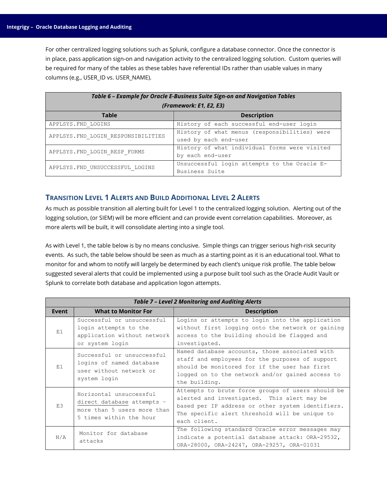For other centralized logging solutions such as Splunk, configure a database connector. Once the connector is in place, pass application sign-on and navigation activity to the centralized logging solution. Custom queries will be required for many of the tables as these tables have referential IDs rather than usable values in many columns (e.g., USER\_ID vs. USER\_NAME).

| Table 6 - Example for Oracle E-Business Suite Sign-on and Navigation Tables |                                                                        |  |  |
|-----------------------------------------------------------------------------|------------------------------------------------------------------------|--|--|
| (Framework: E1, E2, E3)                                                     |                                                                        |  |  |
| <b>Table</b>                                                                | <b>Description</b>                                                     |  |  |
| APPLSYS. FND LOGINS                                                         | History of each successful end-user login                              |  |  |
| APPLSYS. FND LOGIN RESPONSIBILITIES                                         | History of what menus (responsibilities) were<br>used by each end-user |  |  |
| APPLSYS. FND LOGIN RESP FORMS                                               | History of what individual forms were visited<br>by each end-user      |  |  |
| APPLSYS. FND UNSUCCESSFUL LOGINS                                            | Unsuccessful login attempts to the Oracle E-<br>Business Suite         |  |  |

# <span id="page-16-0"></span>**TRANSITION LEVEL 1 ALERTS AND BUILD ADDITIONAL LEVEL 2 ALERTS**

As much as possible transition all alerting built for Level 1 to the centralized logging solution. Alerting out of the logging solution, (or SIEM) will be more efficient and can provide event correlation capabilities. Moreover, as more alerts will be built, it will consolidate alerting into a single tool.

As with Level 1, the table below is by no means conclusive. Simple things can trigger serious high-risk security events. As such, the table below should be seen as much as a starting point as it is an educational tool. What to monitor for and whom to notify will largely be determined by each client's unique risk profile. The table below suggested several alerts that could be implemented using a purpose built tool such as the Oracle Audit Vault or Splunk to correlate both database and application logon attempts.

|       | <b>Table 7 - Level 2 Monitoring and Auditing Alerts</b>                                                         |                                                                                                                                                                                                                         |  |  |
|-------|-----------------------------------------------------------------------------------------------------------------|-------------------------------------------------------------------------------------------------------------------------------------------------------------------------------------------------------------------------|--|--|
| Event | <b>What to Monitor For</b>                                                                                      | <b>Description</b>                                                                                                                                                                                                      |  |  |
| E1    | Successful or unsuccessful<br>login attempts to the<br>application without network<br>or system login           | Logins or attempts to login into the application<br>without first logging onto the network or gaining<br>access to the building should be flagged and<br>investigated.                                                  |  |  |
| E1    | Successful or unsuccessful<br>logins of named database<br>user without network or<br>system login               | Named database accounts, those associated with<br>staff and employees for the purposes of support<br>should be monitored for if the user has first<br>logged on to the network and/or gained access to<br>the building. |  |  |
| E.3   | Horizontal unsuccessful<br>direct database attempts -<br>more than 5 users more than<br>5 times within the hour | Attempts to brute force groups of users should be<br>alerted and investigated. This alert may be<br>based per IP address or other system identifiers.<br>The specific alert threshold will be unique to<br>each client. |  |  |
| N/A   | Monitor for database<br>attacks                                                                                 | The following standard Oracle error messages may<br>indicate a potential database attack: ORA-29532,<br>ORA-28000, ORA-24247, ORA-29257, ORA-01031                                                                      |  |  |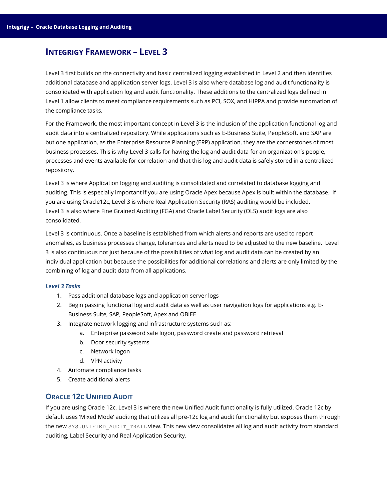# <span id="page-17-0"></span>**INTEGRIGY FRAMEWORK – LEVEL 3**

Level 3 first builds on the connectivity and basic centralized logging established in Level 2 and then identifies additional database and application server logs. Level 3 is also where database log and audit functionality is consolidated with application log and audit functionality. These additions to the centralized logs defined in Level 1 allow clients to meet compliance requirements such as PCI, SOX, and HIPPA and provide automation of the compliance tasks.

For the Framework, the most important concept in Level 3 is the inclusion of the application functional log and audit data into a centralized repository. While applications such as E-Business Suite, PeopleSoft, and SAP are but one application, as the Enterprise Resource Planning (ERP) application, they are the cornerstones of most business processes. This is why Level 3 calls for having the log and audit data for an organization's people, processes and events available for correlation and that this log and audit data is safely stored in a centralized repository.

Level 3 is where Application logging and auditing is consolidated and correlated to database logging and auditing. This is especially important if you are using Oracle Apex because Apex is built within the database. If you are using Oracle12c, Level 3 is where Real Application Security (RAS) auditing would be included. Level 3 is also where Fine Grained Auditing (FGA) and Oracle Label Security (OLS) audit logs are also consolidated.

Level 3 is continuous. Once a baseline is established from which alerts and reports are used to report anomalies, as business processes change, tolerances and alerts need to be adjusted to the new baseline. Level 3 is also continuous not just because of the possibilities of what log and audit data can be created by an individual application but because the possibilities for additional correlations and alerts are only limited by the combining of log and audit data from all applications.

### *Level 3 Tasks*

- 1. Pass additional database logs and application server logs
- 2. Begin passing functional log and audit data as well as user navigation logs for applications e.g. E-Business Suite, SAP, PeopleSoft, Apex and OBIEE
- 3. Integrate network logging and infrastructure systems such as:
	- a. Enterprise password safe logon, password create and password retrieval
	- b. Door security systems
	- c. Network logon
	- d. VPN activity
- 4. Automate compliance tasks
- 5. Create additional alerts

# <span id="page-17-1"></span>**ORACLE 12C UNIFIED AUDIT**

If you are using Oracle 12c, Level 3 is where the new Unified Audit functionality is fully utilized. Oracle 12c by default uses 'Mixed Mode' auditing that utilizes all pre-12c log and audit functionality but exposes them through the new SYS. UNIFIED AUDIT TRAIL view. This new view consolidates all log and audit activity from standard auditing, Label Security and Real Application Security.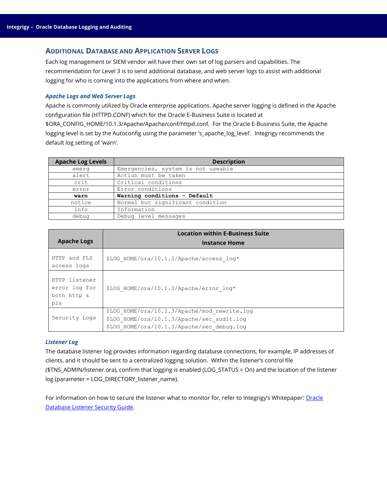# <span id="page-18-0"></span>**ADDITIONAL DATABASE AND APPLICATION SERVER LOGS**

Each log management or SIEM vendor will have their own set of log parsers and capabilities. The recommendation for Level 3 is to send additional database, and web server logs to assist with additional logging for who is coming into the applications from where and when.

#### *Apache Logs and Web Server Logs*

Apache is commonly utilized by Oracle enterprise applications. Apache server logging is defined in the Apache configuration file (HTTPD.CONF) which for the Oracle E-Business Suite is located at

\$ORA\_CONFIG\_HOME/10.1.3/Apache/Apache/conf/httpd.conf. For the Oracle E-Business Suite, the Apache logging level is set by the Autoconfig using the parameter 's\_apache\_log\_level'. Integrigy recommends the default log setting of 'warn'.

| <b>Apache Log Levels</b> | <b>Description</b>                 |
|--------------------------|------------------------------------|
| emerg                    | Emergencies, system is not useable |
| alert                    | Action must be taken               |
| crit                     | Critical conditions                |
| error                    | Error conditions                   |
| warn                     | Warning conditions - Default       |
| notice                   | Normal but significant condition   |
| info                     | Information                        |
| debug                    | Debug level messages               |

| <b>Apache Logs</b>                                   | <b>Location within E-Business Suite</b><br><b>Instance Home</b>                                                                          |
|------------------------------------------------------|------------------------------------------------------------------------------------------------------------------------------------------|
| HTTP and PLS<br>access logs                          | \$LOG HOME/ora/10.1.3/Apache/access log*                                                                                                 |
| HTTP listener<br>error log for<br>both http &<br>pls | \$LOG HOME/ora/10.1.3/Apache/error log*                                                                                                  |
| Security Logs                                        | \$LOG HOME/ora/10.1.3/Apache/mod rewrite.log<br>\$LOG HOME/ora/10.1.3/Apache/sec audit.log<br>\$LOG HOME/ora/10.1.3/Apache/sec debug.log |

#### *Listener Log*

The database listener log provides information regarding database connections, for example, IP addresses of clients, and it should be sent to a centralized logging solution. Within the listener's control file (\$TNS\_ADMIN/listener.ora), confirm that logging is enabled (LOG\_STATUS = On) and the location of the listener log (parameter = LOG\_DIRECTORY\_listener\_name).

For information on how to secure the listener what to monitor for, refer to Integrigy's Whitepaper: Oracle [Database Listener Security Guide.](http://www.integrigy.com/files/Integrigy_Oracle_Listener_TNS_Security.pdf)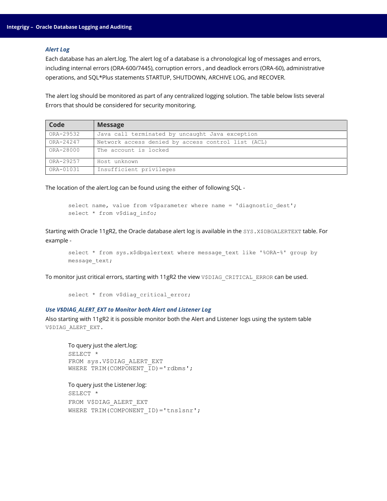#### *Alert Log*

Each database has an alert.log. The alert log of a database is a chronological log of messages and errors, including internal errors (ORA-600/7445), corruption errors , and deadlock errors (ORA-60), administrative operations, and SQL\*Plus statements STARTUP, SHUTDOWN, ARCHIVE LOG, and RECOVER.

The alert log should be monitored as part of any centralized logging solution. The table below lists several Errors that should be considered for security monitoring.

| Code      | <b>Message</b>                                     |
|-----------|----------------------------------------------------|
| ORA-29532 | Java call terminated by uncaught Java exception    |
| ORA-24247 | Network access denied by access control list (ACL) |
| ORA-28000 | The account is locked                              |
| ORA-29257 | Host unknown                                       |
| ORA-01031 | Insufficient privileges                            |

The location of the alert.log can be found using the either of following SQL -

```
select name, value from v$parameter where name = 'diagnostic_dest';
select * from v$diag info;
```
Starting with Oracle 11gR2, the Oracle database alert log is available in the SYS.X\$DBGALERTEXT table. For example -

```
select * from sys.x$dbgalertext where message text like '%ORA-%' group by
message_text;
```
To monitor just critical errors, starting with 11gR2 the view V\$DIAG\_CRITICAL\_ERROR can be used.

```
select * from v$diag_critical_error;
```
### *Use V\$DIAG\_ALERT\_EXT to Monitor both Alert and Listener Log*

Also starting with 11gR2 it is possible monitor both the Alert and Listener logs using the system table V\$DIAG\_ALERT\_EXT.

```
To query just the alert.log:
SELECT *
FROM sys.V$DIAG_ALERT_EXT
WHERE TRIM(COMPONENT ID) = 'rdbms';
```

```
To query just the Listener.log:
SELECT *
FROM V$DIAG_ALERT_EXT
WHERE TRIM(COMPONENT ID)='tnslsnr';
```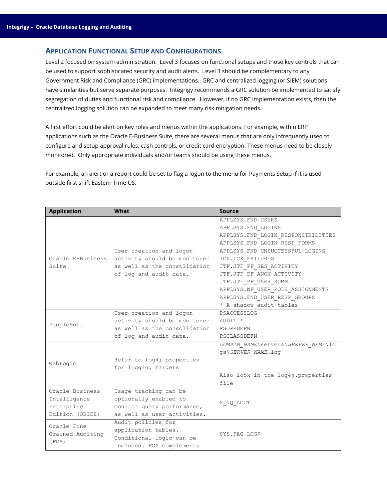### <span id="page-20-0"></span>**APPLICATION FUNCTIONAL SETUP AND CONFIGURATIONS**

Level 2 focused on system administration. Level 3 focuses on functional setups and those key controls that can be used to support sophisticated security and audit alerts. Level 3 should be complementary to any Government Risk and Compliance (GRC) implementations. GRC and centralized logging (or SIEM) solutions have similarities but serve separate purposes. Integrigy recommends a GRC solution be implemented to satisfy segregation of duties and functional risk and compliance. However, if no GRC implementation exists, then the centralized logging solution can be expanded to meet many risk mitigation needs.

A first effort could be alert on key roles and menus within the applications. For example, within ERP applications such as the Oracle E-Business Suite, there are several menus that are only infrequently used to configure and setup approval rules, cash controls, or credit card encryption. These menus need to be closely monitored. Only appropriate individuals and/or teams should be using these menus.

For example, an alert or a report could be set to flag a logon to the menu for Payments Setup if it is used outside first shift Eastern Time US.

| <b>Application</b> | What                         | <b>Source</b>                      |
|--------------------|------------------------------|------------------------------------|
|                    |                              | APPLSYS. FND USERS                 |
|                    |                              | APPLSYS. FND LOGINS                |
|                    |                              | APPLSYS.FND_LOGIN_RESPONSIBILITIES |
|                    |                              | APPLSYS. FND LOGIN RESP FORMS      |
|                    | User creation and logon      | APPLSYS. FND UNSUCCESSFUL LOGINS   |
| Oracle E-Business  | activity should be monitored | ICX.ICX FAILURES                   |
| Suite              | as well as the consolidation | JTF.JTF PF SES ACTIVITY            |
|                    | of log and audit data.       | JTF.JTF PF ANON ACTIVITY           |
|                    |                              | JTF.JTF PF USER SUMM               |
|                    |                              | APPLSYS.WF USER ROLE ASSIGNMENTS   |
|                    |                              | APPLSYS. FND USER RESP GROUPS      |
|                    |                              | * A shadow audit tables            |
|                    | User creation and logon      | PSACCESSLOG                        |
| PeopleSoft         | activity should be monitored | AUDIT *                            |
|                    | as well as the consolidation | PSOPRDEFN                          |
|                    | of log and audit data.       | PSCLASSDEFN                        |
|                    |                              | DOMAIN NAME\servers\SERVER NAME\lo |
|                    |                              | gs\SERVER NAME.log                 |
| WebLogic           | Refer to log4j properties    |                                    |
|                    | for logging targets          |                                    |
|                    |                              | Also look in the log4j.properties  |
|                    |                              | file                               |
| Oracle Business    | Usage tracking can be        |                                    |
| Intelligence       | optionally enabled to        | S NQ ACCT                          |
| Enterprise         | monitor query performance,   |                                    |
| Edition (OBIEE)    | as well as user activities.  |                                    |
| Oracle Fine        | Audit policies for           |                                    |
| Grained Auditing   | application tables.          | SYS. FAG LOG\$                     |
| (FGA)              | Conditional logic can be     |                                    |
|                    | included. FGA complements    |                                    |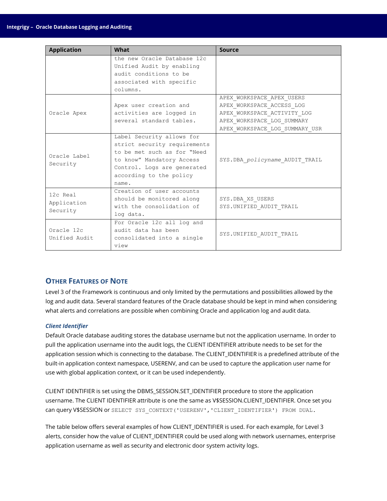| <b>Application</b> | What                         | Source                         |
|--------------------|------------------------------|--------------------------------|
|                    | the new Oracle Database 12c  |                                |
|                    | Unified Audit by enabling    |                                |
|                    | audit conditions to be       |                                |
|                    | associated with specific     |                                |
|                    | columns.                     |                                |
|                    |                              | APEX WORKSPACE APEX USERS      |
|                    | Apex user creation and       | APEX WORKSPACE ACCESS LOG      |
| Oracle Apex        | activities are logged in     | APEX_WORKSPACE_ACTIVITY LOG    |
|                    | several standard tables.     | APEX WORKSPACE LOG SUMMARY     |
|                    |                              | APEX WORKSPACE LOG SUMMARY USR |
|                    | Label Security allows for    |                                |
|                    | strict security requirements |                                |
| Oracle Label       | to be met such as for "Need  |                                |
|                    | to know" Mandatory Access    | SYS.DBA policyname AUDIT TRAIL |
| Security           | Control. Logs are generated  |                                |
|                    | according to the policy      |                                |
|                    | name.                        |                                |
| 12c Real           | Creation of user accounts    |                                |
|                    | should be monitored along    | SYS.DBA XS USERS               |
| Application        | with the consolidation of    | SYS.UNIFIED AUDIT TRAIL        |
| Security           | log data.                    |                                |
|                    | For Oracle 12c all log and   |                                |
| Oracle 12c         | audit data has been          |                                |
| Unified Audit      | consolidated into a single   | SYS.UNIFIED_AUDIT_TRAIL        |
|                    | view                         |                                |

# <span id="page-21-0"></span>**OTHER FEATURES OF NOTE**

Level 3 of the Framework is continuous and only limited by the permutations and possibilities allowed by the log and audit data. Several standard features of the Oracle database should be kept in mind when considering what alerts and correlations are possible when combining Oracle and application log and audit data.

### *Client Identifier*

Default Oracle database auditing stores the database username but not the application username. In order to pull the application username into the audit logs, the CLIENT IDENTIFIER attribute needs to be set for the application session which is connecting to the database. The CLIENT\_IDENTIFIER is a predefined attribute of the built-in application context namespace, USERENV, and can be used to capture the application user name for use with global application context, or it can be used independently.

CLIENT IDENTIFIER is set using the DBMS\_SESSION.SET\_IDENTIFIER procedure to store the application username. The CLIENT IDENTIFIER attribute is one the same as V\$SESSION.CLIENT\_IDENTIFIER. Once set you can query V\$SESSION or SELECT SYS\_CONTEXT('USERENV','CLIENT\_IDENTIFIER') FROM DUAL.

The table below offers several examples of how CLIENT\_IDENTIFIER is used. For each example, for Level 3 alerts, consider how the value of CLIENT IDENTIFIER could be used along with network usernames, enterprise application username as well as security and electronic door system activity logs.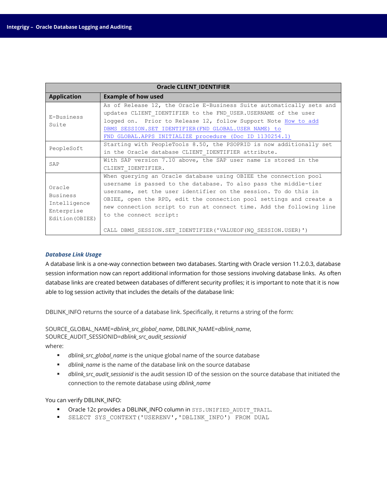| <b>Oracle CLIENT IDENTIFIER</b>                                     |                                                                                                                                                                                                                                                                                                                                                                                  |  |  |  |
|---------------------------------------------------------------------|----------------------------------------------------------------------------------------------------------------------------------------------------------------------------------------------------------------------------------------------------------------------------------------------------------------------------------------------------------------------------------|--|--|--|
| <b>Application</b>                                                  | <b>Example of how used</b>                                                                                                                                                                                                                                                                                                                                                       |  |  |  |
| E-Business<br>Suite                                                 | As of Release 12, the Oracle E-Business Suite automatically sets and<br>updates CLIENT IDENTIFIER to the FND USER. USERNAME of the user<br>logged on. Prior to Release 12, follow Support Note How to add<br>DBMS SESSION. SET IDENTIFIER (FND GLOBAL. USER NAME) to<br>FND GLOBAL. APPS INITIALIZE procedure (Doc ID 1130254.1)                                                 |  |  |  |
| PeopleSoft                                                          | Starting with PeopleTools 8.50, the PSOPRID is now additionally set<br>in the Oracle database CLIENT IDENTIFIER attribute.                                                                                                                                                                                                                                                       |  |  |  |
| SAP                                                                 | With SAP version 7.10 above, the SAP user name is stored in the<br>CLIENT IDENTIFIER.                                                                                                                                                                                                                                                                                            |  |  |  |
| Oracle<br>Business<br>Intelligence<br>Enterprise<br>Edition (OBIEE) | When querying an Oracle database using OBIEE the connection pool<br>username is passed to the database. To also pass the middle-tier<br>username, set the user identifier on the session. To do this in<br>OBIEE, open the RPD, edit the connection pool settings and create a<br>new connection script to run at connect time. Add the following line<br>to the connect script: |  |  |  |
|                                                                     | CALL DBMS SESSION.SET IDENTIFIER ('VALUEOF (NQ SESSION.USER)')                                                                                                                                                                                                                                                                                                                   |  |  |  |

### *Database Link Usage*

A database link is a one-way connection between two databases. Starting with Oracle version 11.2.0.3, database session information now can report additional information for those sessions involving database links. As often database links are created between databases of different security profiles; it is important to note that it is now able to log session activity that includes the details of the database link:

DBLINK\_INFO returns the source of a database link. Specifically, it returns a string of the form:

SOURCE\_GLOBAL\_NAME=*dblink\_src\_global\_name*, DBLINK\_NAME=*dblink\_name*, SOURCE\_AUDIT\_SESSIONID=*dblink\_src\_audit\_sessionid*

where:

- *dblink\_src\_global\_name* is the unique global name of the source database
- *dblink\_name* is the name of the database link on the source database
- *dblink\_src\_audit\_sessionid* is the audit session ID of the session on the source database that initiated the connection to the remote database using *dblink\_name*

#### You can verify DBLINK\_INFO:

- **•** Oracle 12c provides a DBLINK\_INFO column in SYS. UNIFIED AUDIT TRAIL.
- SELECT SYS\_CONTEXT('USERENV','DBLINK\_INFO') FROM DUAL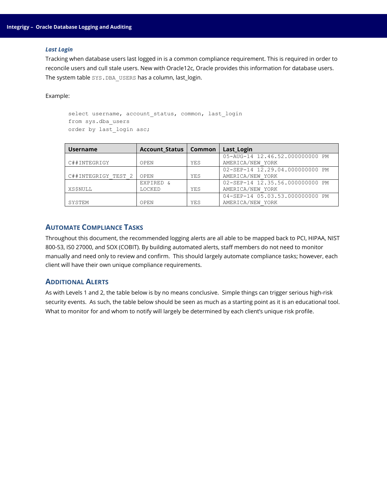#### *Last Login*

Tracking when database users last logged in is a common compliance requirement. This is required in order to reconcile users and cull stale users. New with Oracle12c, Oracle provides this information for database users. The system table SYS.DBA\_USERS has a column, last\_login.

Example:

```
select username, account status, common, last login
from sys.dba_users
order by last login asc;
```

| <b>Username</b>     | Account Status   Common |     | Last_Login                      |
|---------------------|-------------------------|-----|---------------------------------|
|                     |                         |     | 05-AUG-14 12.46.52.000000000 PM |
| C##INTEGRIGY        | OPEN                    | YES | AMERICA/NEW YORK                |
|                     |                         |     | 02-SEP-14 12.29.04.000000000 PM |
| C##INTEGRIGY TEST 2 | OPEN                    | YES | AMERICA/NEW YORK                |
|                     | EXPIRED &               |     | 02-SEP-14 12.35.56.000000000 PM |
| <b>XS\$NULL</b>     | LOCKED                  | YES | AMERICA/NEW YORK                |
|                     |                         |     | 04-SEP-14 05.03.53.000000000 PM |
| SYSTEM              | OPEN                    | YES | AMERICA/NEW YORK                |

# <span id="page-23-0"></span>**AUTOMATE COMPLIANCE TASKS**

Throughout this document, the recommended logging alerts are all able to be mapped back to PCI, HIPAA, NIST 800-53, IS0 27000, and SOX (COBIT). By building automated alerts, staff members do not need to monitor manually and need only to review and confirm. This should largely automate compliance tasks; however, each client will have their own unique compliance requirements.

# <span id="page-23-1"></span>**ADDITIONAL ALERTS**

As with Levels 1 and 2, the table below is by no means conclusive. Simple things can trigger serious high-risk security events. As such, the table below should be seen as much as a starting point as it is an educational tool. What to monitor for and whom to notify will largely be determined by each client's unique risk profile.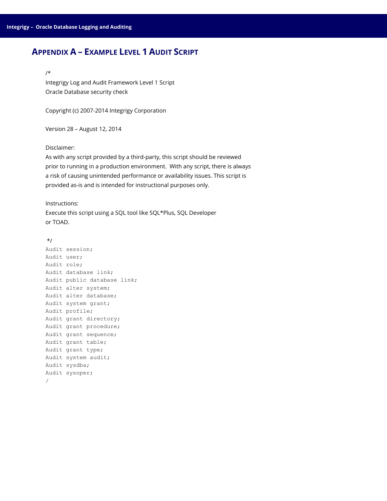# <span id="page-24-0"></span>**APPENDIX A – EXAMPLE LEVEL 1 AUDIT SCRIPT**

# /\*

Integrigy Log and Audit Framework Level 1 Script Oracle Database security check

Copyright (c) 2007-2014 Integrigy Corporation

Version 28 – August 12, 2014

Disclaimer:

As with any script provided by a third-party, this script should be reviewed prior to running in a production environment. With any script, there is always a risk of causing unintended performance or availability issues. This script is provided as-is and is intended for instructional purposes only.

Instructions:

Execute this script using a SQL tool like SQL\*Plus, SQL Developer or TOAD.

#### \*/

```
Audit session;
Audit user;
Audit role;
Audit database link;
Audit public database link;
Audit alter system;
Audit alter database;
Audit system grant;
Audit profile;
Audit grant directory;
Audit grant procedure;
Audit grant sequence;
Audit grant table;
Audit grant type;
Audit system audit;
Audit sysdba;
Audit sysoper;
/
```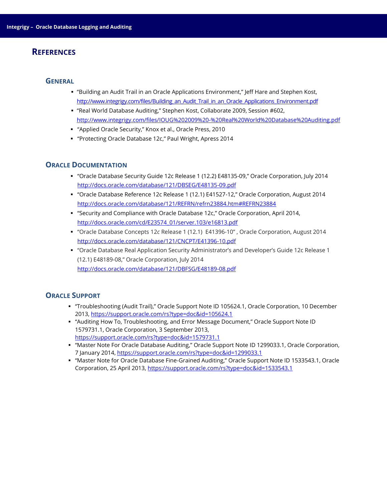# <span id="page-25-0"></span>**REFERENCES**

#### <span id="page-25-1"></span>**GENERAL**

- "Building an Audit Trail in an Oracle Applications Environment," Jeff Hare and Stephen Kost, [http://www.integrigy.com/files/Building\\_an\\_Audit\\_Trail\\_in\\_an\\_Oracle\\_Applications\\_Environment.pdf](http://www.integrigy.com/files/Building_an_Audit_Trail_in_an_Oracle_Applications_Environment.pdf)
- "Real World Database Auditing," Stephen Kost, Collaborate 2009, Session #602, <http://www.integrigy.com/files/IOUG%202009%20-%20Real%20World%20Database%20Auditing.pdf>
- "Applied Oracle Security," Knox et al., Oracle Press, 2010
- "Protecting Oracle Database 12c," Paul Wright, Apress 2014

### <span id="page-25-2"></span>**ORACLE DOCUMENTATION**

- "Oracle Database Security Guide 12c Release 1 (12.2) E48135-09," Oracle Corporation, July 2014 <http://docs.oracle.com/database/121/DBSEG/E48135-09.pdf>
- "Oracle Database Reference 12c Release 1 (12.1) E41527-12," Oracle Corporation, August 2014 <http://docs.oracle.com/database/121/REFRN/refrn23884.htm#REFRN23884>
- "Security and Compliance with Oracle Database 12c," Oracle Corporation, April 2014, [http://docs.oracle.com/cd/E23574\\_01/server.103/e16813.pdf](http://docs.oracle.com/cd/E23574_01/server.103/e16813.pdf)
- "Oracle Database Concepts 12*c* Release 1 (12.1) E41396-10" , Oracle Corporation, August 2014 <http://docs.oracle.com/database/121/CNCPT/E41396-10.pdf>
- "Oracle Database Real Application Security Administrator's and Developer's Guide 12c Release 1 (12.1) E48189-08," Oracle Corporation, July 2014 <http://docs.oracle.com/database/121/DBFSG/E48189-08.pdf>

# <span id="page-25-3"></span>**ORACLE SUPPORT**

- "Troubleshooting (Audit Trail)," Oracle Support Note ID 105624.1, Oracle Corporation, 10 December 2013, <https://support.oracle.com/rs?type=doc&id=105624.1>
- "Auditing How To, Troubleshooting, and Error Message Document," Oracle Support Note ID 1579731.1, Oracle Corporation, 3 September 2013, <https://support.oracle.com/rs?type=doc&id=1579731.1>
- "Master Note For Oracle Database Auditing," Oracle Support Note ID 1299033.1, Oracle Corporation, 7 January 2014, <https://support.oracle.com/rs?type=doc&id=1299033.1>
- "Master Note for Oracle Database Fine-Grained Auditing," Oracle Support Note ID 1533543.1, Oracle Corporation, 25 April 2013, <https://support.oracle.com/rs?type=doc&id=1533543.1>